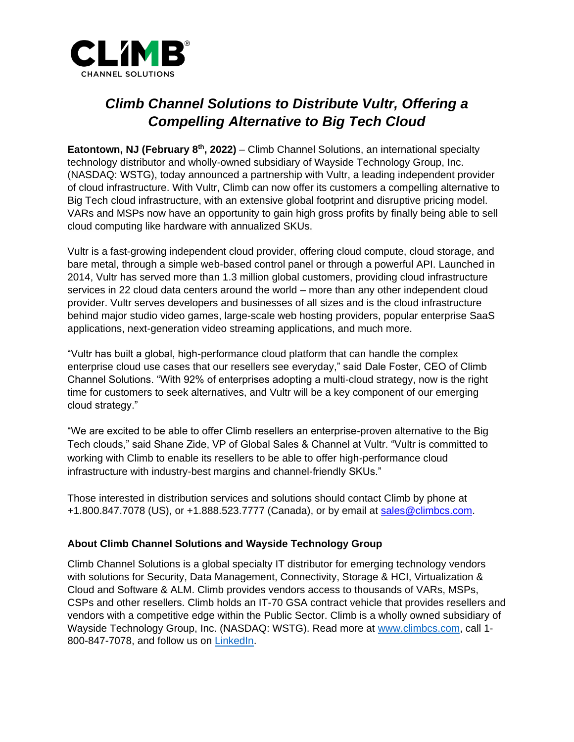

## *Climb Channel Solutions to Distribute Vultr, Offering a Compelling Alternative to Big Tech Cloud*

**Eatontown, NJ (February 8th, 2022)** – Climb Channel Solutions, an international specialty technology distributor and wholly-owned subsidiary of Wayside Technology Group, Inc. (NASDAQ: WSTG), today announced a partnership with Vultr, a leading independent provider of cloud infrastructure. With Vultr, Climb can now offer its customers a compelling alternative to Big Tech cloud infrastructure, with an extensive global footprint and disruptive pricing model. VARs and MSPs now have an opportunity to gain high gross profits by finally being able to sell cloud computing like hardware with annualized SKUs.

Vultr is a fast-growing independent cloud provider, offering cloud compute, cloud storage, and bare metal, through a simple web-based control panel or through a powerful API. Launched in 2014, Vultr has served more than 1.3 million global customers, providing cloud infrastructure services in 22 cloud data centers around the world – more than any other independent cloud provider. Vultr serves developers and businesses of all sizes and is the cloud infrastructure behind major studio video games, large-scale web hosting providers, popular enterprise SaaS applications, next-generation video streaming applications, and much more.

"Vultr has built a global, high-performance cloud platform that can handle the complex enterprise cloud use cases that our resellers see everyday," said Dale Foster, CEO of Climb Channel Solutions. "With 92% of enterprises adopting a multi-cloud strategy, now is the right time for customers to seek alternatives, and Vultr will be a key component of our emerging cloud strategy."

"We are excited to be able to offer Climb resellers an enterprise-proven alternative to the Big Tech clouds," said Shane Zide, VP of Global Sales & Channel at Vultr. "Vultr is committed to working with Climb to enable its resellers to be able to offer high-performance cloud infrastructure with industry-best margins and channel-friendly SKUs."

Those interested in distribution services and solutions should contact Climb by phone at +1.800.847.7078 (US), or +1.888.523.7777 (Canada), or by email at [sales@climbcs.com.](mailto:sales@climbcs.com)

## **About Climb Channel Solutions and Wayside Technology Group**

Climb Channel Solutions is a global specialty IT distributor for emerging technology vendors with solutions for Security, Data Management, Connectivity, Storage & HCI, Virtualization & Cloud and Software & ALM. Climb provides vendors access to thousands of VARs, MSPs, CSPs and other resellers. Climb holds an IT-70 GSA contract vehicle that provides resellers and vendors with a competitive edge within the Public Sector. Climb is a wholly owned subsidiary of Wayside Technology Group, Inc. (NASDAQ: WSTG). Read more at [www.climbcs.com,](http://www.climbcs.com/) call 1- 800-847-7078, and follow us on [LinkedIn.](https://www.linkedin.com/company/climbcs/mycompany/)